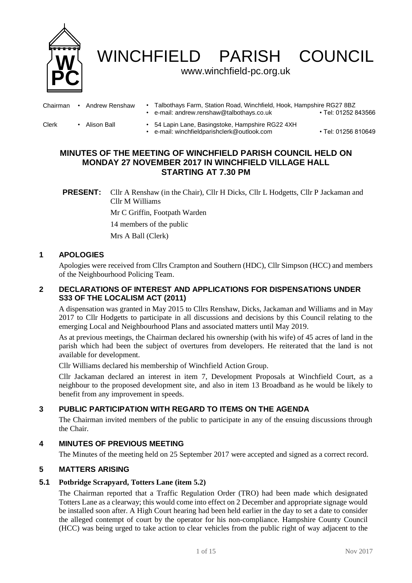

WINCHFIELD PARISH COUNCIL

# www.winchfield-pc.org.uk

| Chairman | Andrew Renshaw | Talbothays Farm, Station Road, Winchfield, Hook, Hampshire RG27 8BZ<br>e-mail: andrew.renshaw@talbothays.co.uk | • Tel: 01252 843566 |
|----------|----------------|----------------------------------------------------------------------------------------------------------------|---------------------|
| Clerk    | Alison Ball    | 54 Lapin Lane, Basingstoke, Hampshire RG22 4XH<br>e-mail: winchfieldparishclerk@outlook.com                    | • Tel: 01256 810649 |

# **MINUTES OF THE MEETING OF WINCHFIELD PARISH COUNCIL HELD ON MONDAY 27 NOVEMBER 2017 IN WINCHFIELD VILLAGE HALL STARTING AT 7.30 PM**

**PRESENT:** Cllr A Renshaw (in the Chair), Cllr H Dicks, Cllr L Hodgetts, Cllr P Jackaman and Cllr M Williams Mr C Griffin, Footpath Warden 14 members of the public Mrs A Ball (Clerk)

## **1 APOLOGIES**

Apologies were received from Cllrs Crampton and Southern (HDC), Cllr Simpson (HCC) and members of the Neighbourhood Policing Team.

## **2 DECLARATIONS OF INTEREST AND APPLICATIONS FOR DISPENSATIONS UNDER S33 OF THE LOCALISM ACT (2011)**

A dispensation was granted in May 2015 to Cllrs Renshaw, Dicks, Jackaman and Williams and in May 2017 to Cllr Hodgetts to participate in all discussions and decisions by this Council relating to the emerging Local and Neighbourhood Plans and associated matters until May 2019.

As at previous meetings, the Chairman declared his ownership (with his wife) of 45 acres of land in the parish which had been the subject of overtures from developers. He reiterated that the land is not available for development.

Cllr Williams declared his membership of Winchfield Action Group.

Cllr Jackaman declared an interest in item 7, Development Proposals at Winchfield Court, as a neighbour to the proposed development site, and also in item 13 Broadband as he would be likely to benefit from any improvement in speeds.

# **3 PUBLIC PARTICIPATION WITH REGARD TO ITEMS ON THE AGENDA**

The Chairman invited members of the public to participate in any of the ensuing discussions through the Chair.

## **4 MINUTES OF PREVIOUS MEETING**

The Minutes of the meeting held on 25 September 2017 were accepted and signed as a correct record.

## **5 MATTERS ARISING**

## **5.1 Potbridge Scrapyard, Totters Lane (item 5.2)**

The Chairman reported that a Traffic Regulation Order (TRO) had been made which designated Totters Lane as a clearway; this would come into effect on 2 December and appropriate signage would be installed soon after. A High Court hearing had been held earlier in the day to set a date to consider the alleged contempt of court by the operator for his non-compliance. Hampshire County Council (HCC) was being urged to take action to clear vehicles from the public right of way adjacent to the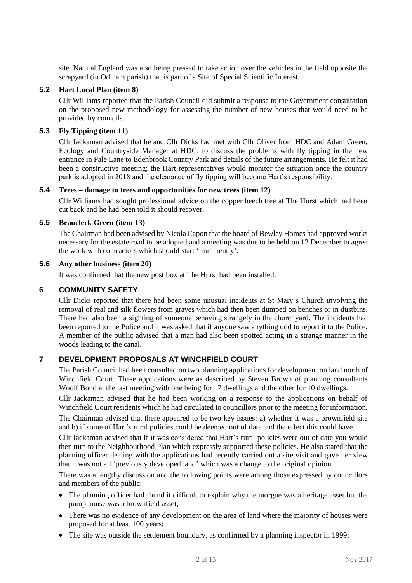site. Natural England was also being pressed to take action over the vehicles in the field opposite the scrapyard (in Odiham parish) that is part of a Site of Special Scientific Interest.

### **5.2 Hart Local Plan (item 8)**

Cllr Williams reported that the Parish Council did submit a response to the Government consultation on the proposed new methodology for assessing the number of new houses that would need to be provided by councils.

### **5.3 Fly Tipping (item 11)**

Cllr Jackaman advised that he and Cllr Dicks had met with Cllr Oliver from HDC and Adam Green, Ecology and Countryside Manager at HDC, to discuss the problems with fly tipping in the new entrance in Pale Lane to Edenbrook Country Park and details of the future arrangements. He felt it had been a constructive meeting; the Hart representatives would monitor the situation once the country park is adopted in 2018 and the clearance of fly tipping will become Hart's responsibility.

#### **5.4 Trees – damage to trees and opportunities for new trees (item 12)**

Cllr Williams had sought professional advice on the copper beech tree at The Hurst which had been cut back and he had been told it should recover.

### **5.5 Beauclerk Green (item 13)**

The Chairman had been advised by Nicola Capon that the board of Bewley Homes had approved works necessary for the estate road to be adopted and a meeting was due to be held on 12 December to agree the work with contractors which should start 'imminently'.

#### **5.6 Any other business (item 20)**

It was confirmed that the new post box at The Hurst had been installed.

### **6 COMMUNITY SAFETY**

Cllr Dicks reported that there had been some unusual incidents at St Mary's Church involving the removal of real and silk flowers from graves which had then been dumped on benches or in dustbins. There had also been a sighting of someone behaving strangely in the churchyard. The incidents had been reported to the Police and it was asked that if anyone saw anything odd to report it to the Police. A member of the public advised that a man had also been spotted acting in a strange manner in the woods leading to the canal.

## **7 DEVELOPMENT PROPOSALS AT WINCHFIELD COURT**

The Parish Council had been consulted on two planning applications for development on land north of Winchfield Court. These applications were as described by Steven Brown of planning consultants Woolf Bond at the last meeting with one being for 17 dwellings and the other for 10 dwellings.

Cllr Jackaman advised that he had been working on a response to the applications on behalf of Winchfield Court residents which he had circulated to councillors prior to the meeting for information.

The Chairman advised that there appeared to be two key issues: a) whether it was a brownfield site and b) if some of Hart's rural policies could be deemed out of date and the effect this could have.

Cllr Jackaman advised that if it was considered that Hart's rural policies were out of date you would then turn to the Neighbourhood Plan which expressly supported these policies. He also stated that the planning officer dealing with the applications had recently carried out a site visit and gave her view that it was not all 'previously developed land' which was a change to the original opinion.

There was a lengthy discussion and the following points were among those expressed by councillors and members of the public:

- The planning officer had found it difficult to explain why the morgue was a heritage asset but the pump house was a brownfield asset;
- There was no evidence of any development on the area of land where the majority of houses were proposed for at least 100 years;
- The site was outside the settlement boundary, as confirmed by a planning inspector in 1999;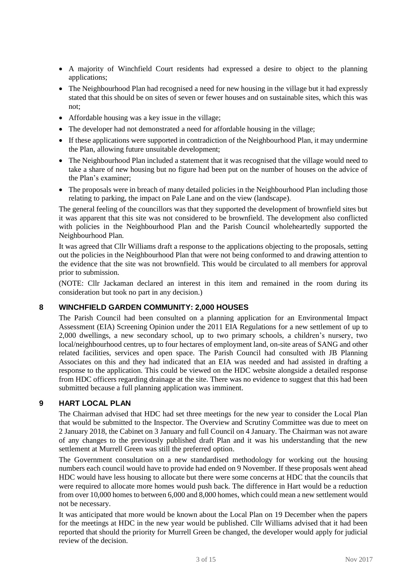- A majority of Winchfield Court residents had expressed a desire to object to the planning applications;
- The Neighbourhood Plan had recognised a need for new housing in the village but it had expressly stated that this should be on sites of seven or fewer houses and on sustainable sites, which this was not;
- Affordable housing was a key issue in the village;
- The developer had not demonstrated a need for affordable housing in the village;
- If these applications were supported in contradiction of the Neighbourhood Plan, it may undermine the Plan, allowing future unsuitable development;
- The Neighbourhood Plan included a statement that it was recognised that the village would need to take a share of new housing but no figure had been put on the number of houses on the advice of the Plan's examiner;
- The proposals were in breach of many detailed policies in the Neighbourhood Plan including those relating to parking, the impact on Pale Lane and on the view (landscape).

The general feeling of the councillors was that they supported the development of brownfield sites but it was apparent that this site was not considered to be brownfield. The development also conflicted with policies in the Neighbourhood Plan and the Parish Council wholeheartedly supported the Neighbourhood Plan.

It was agreed that Cllr Williams draft a response to the applications objecting to the proposals, setting out the policies in the Neighbourhood Plan that were not being conformed to and drawing attention to the evidence that the site was not brownfield. This would be circulated to all members for approval prior to submission.

(NOTE: Cllr Jackaman declared an interest in this item and remained in the room during its consideration but took no part in any decision.)

## **8 WINCHFIELD GARDEN COMMUNITY: 2,000 HOUSES**

The Parish Council had been consulted on a planning application for an Environmental Impact Assessment (EIA) Screening Opinion under the 2011 EIA Regulations for a new settlement of up to 2,000 dwellings, a new secondary school, up to two primary schools, a children's nursery, two local/neighbourhood centres, up to four hectares of employment land, on-site areas of SANG and other related facilities, services and open space. The Parish Council had consulted with JB Planning Associates on this and they had indicated that an EIA was needed and had assisted in drafting a response to the application. This could be viewed on the HDC website alongside a detailed response from HDC officers regarding drainage at the site. There was no evidence to suggest that this had been submitted because a full planning application was imminent.

## **9 HART LOCAL PLAN**

The Chairman advised that HDC had set three meetings for the new year to consider the Local Plan that would be submitted to the Inspector. The Overview and Scrutiny Committee was due to meet on 2 January 2018, the Cabinet on 3 January and full Council on 4 January. The Chairman was not aware of any changes to the previously published draft Plan and it was his understanding that the new settlement at Murrell Green was still the preferred option.

The Government consultation on a new standardised methodology for working out the housing numbers each council would have to provide had ended on 9 November. If these proposals went ahead HDC would have less housing to allocate but there were some concerns at HDC that the councils that were required to allocate more homes would push back. The difference in Hart would be a reduction from over 10,000 homes to between 6,000 and 8,000 homes, which could mean a new settlement would not be necessary.

It was anticipated that more would be known about the Local Plan on 19 December when the papers for the meetings at HDC in the new year would be published. Cllr Williams advised that it had been reported that should the priority for Murrell Green be changed, the developer would apply for judicial review of the decision.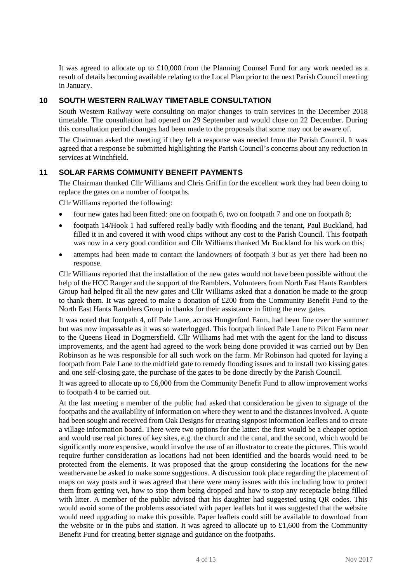It was agreed to allocate up to £10,000 from the Planning Counsel Fund for any work needed as a result of details becoming available relating to the Local Plan prior to the next Parish Council meeting in January.

### **10 SOUTH WESTERN RAILWAY TIMETABLE CONSULTATION**

South Western Railway were consulting on major changes to train services in the December 2018 timetable. The consultation had opened on 29 September and would close on 22 December. During this consultation period changes had been made to the proposals that some may not be aware of.

The Chairman asked the meeting if they felt a response was needed from the Parish Council. It was agreed that a response be submitted highlighting the Parish Council's concerns about any reduction in services at Winchfield.

## **11 SOLAR FARMS COMMUNITY BENEFIT PAYMENTS**

The Chairman thanked Cllr Williams and Chris Griffin for the excellent work they had been doing to replace the gates on a number of footpaths.

Cllr Williams reported the following:

- four new gates had been fitted: one on footpath 6, two on footpath 7 and one on footpath 8;
- footpath 14/Hook 1 had suffered really badly with flooding and the tenant, Paul Buckland, had filled it in and covered it with wood chips without any cost to the Parish Council. This footpath was now in a very good condition and Cllr Williams thanked Mr Buckland for his work on this;
- attempts had been made to contact the landowners of footpath 3 but as yet there had been no response.

Cllr Williams reported that the installation of the new gates would not have been possible without the help of the HCC Ranger and the support of the Ramblers. Volunteers from North East Hants Ramblers Group had helped fit all the new gates and Cllr Williams asked that a donation be made to the group to thank them. It was agreed to make a donation of £200 from the Community Benefit Fund to the North East Hants Ramblers Group in thanks for their assistance in fitting the new gates.

It was noted that footpath 4, off Pale Lane, across Hungerford Farm, had been fine over the summer but was now impassable as it was so waterlogged. This footpath linked Pale Lane to Pilcot Farm near to the Queens Head in Dogmersfield. Cllr Williams had met with the agent for the land to discuss improvements, and the agent had agreed to the work being done provided it was carried out by Ben Robinson as he was responsible for all such work on the farm. Mr Robinson had quoted for laying a footpath from Pale Lane to the midfield gate to remedy flooding issues and to install two kissing gates and one self-closing gate, the purchase of the gates to be done directly by the Parish Council.

It was agreed to allocate up to £6,000 from the Community Benefit Fund to allow improvement works to footpath 4 to be carried out.

At the last meeting a member of the public had asked that consideration be given to signage of the footpaths and the availability of information on where they went to and the distances involved. A quote had been sought and received from Oak Designs for creating signpost information leaflets and to create a village information board. There were two options for the latter: the first would be a cheaper option and would use real pictures of key sites, e.g. the church and the canal, and the second, which would be significantly more expensive, would involve the use of an illustrator to create the pictures. This would require further consideration as locations had not been identified and the boards would need to be protected from the elements. It was proposed that the group considering the locations for the new weathervane be asked to make some suggestions. A discussion took place regarding the placement of maps on way posts and it was agreed that there were many issues with this including how to protect them from getting wet, how to stop them being dropped and how to stop any receptacle being filled with litter. A member of the public advised that his daughter had suggested using QR codes. This would avoid some of the problems associated with paper leaflets but it was suggested that the website would need upgrading to make this possible. Paper leaflets could still be available to download from the website or in the pubs and station. It was agreed to allocate up to  $£1,600$  from the Community Benefit Fund for creating better signage and guidance on the footpaths.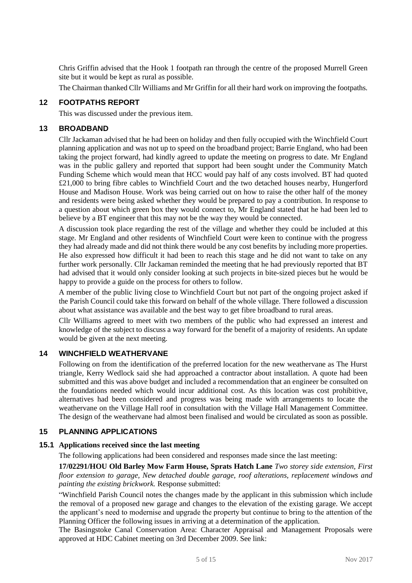Chris Griffin advised that the Hook 1 footpath ran through the centre of the proposed Murrell Green site but it would be kept as rural as possible.

The Chairman thanked Cllr Williams and Mr Griffin for all their hard work on improving the footpaths.

#### **12 FOOTPATHS REPORT**

This was discussed under the previous item.

#### **13 BROADBAND**

Cllr Jackaman advised that he had been on holiday and then fully occupied with the Winchfield Court planning application and was not up to speed on the broadband project; Barrie England, who had been taking the project forward, had kindly agreed to update the meeting on progress to date. Mr England was in the public gallery and reported that support had been sought under the Community Match Funding Scheme which would mean that HCC would pay half of any costs involved. BT had quoted £21,000 to bring fibre cables to Winchfield Court and the two detached houses nearby, Hungerford House and Madison House. Work was being carried out on how to raise the other half of the money and residents were being asked whether they would be prepared to pay a contribution. In response to a question about which green box they would connect to, Mr England stated that he had been led to believe by a BT engineer that this may not be the way they would be connected.

A discussion took place regarding the rest of the village and whether they could be included at this stage. Mr England and other residents of Winchfield Court were keen to continue with the progress they had already made and did not think there would be any cost benefits by including more properties. He also expressed how difficult it had been to reach this stage and he did not want to take on any further work personally. Cllr Jackaman reminded the meeting that he had previously reported that BT had advised that it would only consider looking at such projects in bite-sized pieces but he would be happy to provide a guide on the process for others to follow.

A member of the public living close to Winchfield Court but not part of the ongoing project asked if the Parish Council could take this forward on behalf of the whole village. There followed a discussion about what assistance was available and the best way to get fibre broadband to rural areas.

Cllr Williams agreed to meet with two members of the public who had expressed an interest and knowledge of the subject to discuss a way forward for the benefit of a majority of residents. An update would be given at the next meeting.

### **14 WINCHFIELD WEATHERVANE**

Following on from the identification of the preferred location for the new weathervane as The Hurst triangle, Kerry Wedlock said she had approached a contractor about installation. A quote had been submitted and this was above budget and included a recommendation that an engineer be consulted on the foundations needed which would incur additional cost. As this location was cost prohibitive, alternatives had been considered and progress was being made with arrangements to locate the weathervane on the Village Hall roof in consultation with the Village Hall Management Committee. The design of the weathervane had almost been finalised and would be circulated as soon as possible.

## **15 PLANNING APPLICATIONS**

#### **15.1 Applications received since the last meeting**

The following applications had been considered and responses made since the last meeting:

**17/02291/HOU Old Barley Mow Farm House, Sprats Hatch Lane** *Two storey side extension, First floor extension to garage, New detached double garage, roof alterations, replacement windows and painting the existing brickwork.* Response submitted:

"Winchfield Parish Council notes the changes made by the applicant in this submission which include the removal of a proposed new garage and changes to the elevation of the existing garage. We accept the applicant's need to modernise and upgrade the property but continue to bring to the attention of the Planning Officer the following issues in arriving at a determination of the application.

The Basingstoke Canal Conservation Area: Character Appraisal and Management Proposals were approved at HDC Cabinet meeting on 3rd December 2009. See link: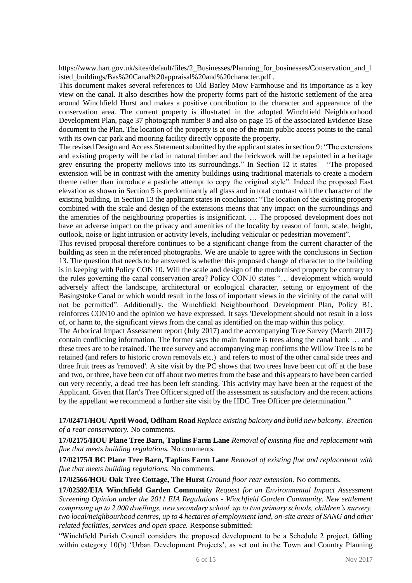https://www.hart.gov.uk/sites/default/files/2 Businesses/Planning for businesses/Conservation and 1 isted\_buildings/Bas%20Canal%20appraisal%20and%20character.pdf.

This document makes several references to Old Barley Mow Farmhouse and its importance as a key view on the canal. It also describes how the property forms part of the historic settlement of the area around Winchfield Hurst and makes a positive contribution to the character and appearance of the conservation area. The current property is illustrated in the adopted Winchfield Neighbourhood Development Plan, page 37 photograph number 8 and also on page 15 of the associated Evidence Base document to the Plan. The location of the property is at one of the main public access points to the canal with its own car park and mooring facility directly opposite the property.

The revised Design and Access Statement submitted by the applicant states in section 9: "The extensions and existing property will be clad in natural timber and the brickwork will be repainted in a heritage grey ensuring the property mellows into its surroundings." In Section 12 it states – "The proposed extension will be in contrast with the amenity buildings using traditional materials to create a modern theme rather than introduce a pastiche attempt to copy the original style". Indeed the proposed East elevation as shown in Section 5 is predominantly all glass and in total contrast with the character of the existing building. In Section 13 the applicant states in conclusion: "The location of the existing property combined with the scale and design of the extensions means that any impact on the surroundings and the amenities of the neighbouring properties is insignificant. … The proposed development does not have an adverse impact on the privacy and amenities of the locality by reason of form, scale, height, outlook, noise or light intrusion or activity levels, including vehicular or pedestrian movement".

This revised proposal therefore continues to be a significant change from the current character of the building as seen in the referenced photographs. We are unable to agree with the conclusions in Section 13. The question that needs to be answered is whether this proposed change of character to the building is in keeping with Policy CON 10. Will the scale and design of the modernised property be contrary to the rules governing the canal conservation area? Policy CON10 states "… development which would adversely affect the landscape, architectural or ecological character, setting or enjoyment of the Basingstoke Canal or which would result in the loss of important views in the vicinity of the canal will not be permitted". Additionally, the Winchfield Neighbourhood Development Plan, Policy B1, reinforces CON10 and the opinion we have expressed. It says 'Development should not result in a loss of, or harm to, the significant views from the canal as identified on the map within this policy.

The Arborical Impact Assessment report (July 2017) and the accompanying Tree Survey (March 2017) contain conflicting information. The former says the main feature is trees along the canal bank … and these trees are to be retained. The tree survey and accompanying map confirms the Willow Tree is to be retained (and refers to historic crown removals etc.) and refers to most of the other canal side trees and three fruit trees as 'removed'. A site visit by the PC shows that two trees have been cut off at the base and two, or three, have been cut off about two metres from the base and this appears to have been carried out very recently, a dead tree has been left standing. This activity may have been at the request of the Applicant. Given that Hart's Tree Officer signed off the assessment as satisfactory and the recent actions by the appellant we recommend a further site visit by the HDC Tree Officer pre determination."

**17/02471/HOU April Wood, Odiham Road** *Replace existing balcony and build new balcony. Erection of a rear conservatory.* No comments.

**17/02175/HOU Plane Tree Barn, Taplins Farm Lane** *Removal of existing flue and replacement with flue that meets building regulations.* No comments.

**17/02175/LBC Plane Tree Barn, Taplins Farm Lane** *Removal of existing flue and replacement with flue that meets building regulations.* No comments.

**17/02566/HOU Oak Tree Cottage, The Hurst** *Ground floor rear extension.* No comments.

**17/02592/EIA Winchfield Garden Community** *Request for an Environmental Impact Assessment Screening Opinion under the 2011 EIA Regulations - Winchfield Garden Community. New settlement comprising up to 2,000 dwellings, new secondary school, up to two primary schools, children's nursery, two local/neighbourhood centres, up to 4 hectares of employment land, on-site areas of SANG and other related facilities, services and open space.* Response submitted:

"Winchfield Parish Council considers the proposed development to be a Schedule 2 project, falling within category 10(b) 'Urban Development Projects', as set out in the Town and Country Planning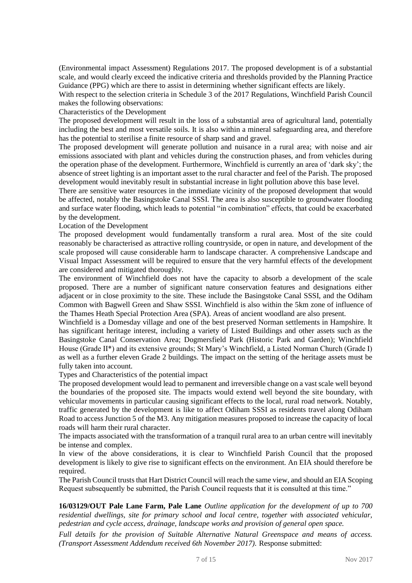(Environmental impact Assessment) Regulations 2017. The proposed development is of a substantial scale, and would clearly exceed the indicative criteria and thresholds provided by the Planning Practice Guidance (PPG) which are there to assist in determining whether significant effects are likely.

With respect to the selection criteria in Schedule 3 of the 2017 Regulations, Winchfield Parish Council makes the following observations:

Characteristics of the Development

The proposed development will result in the loss of a substantial area of agricultural land, potentially including the best and most versatile soils. It is also within a mineral safeguarding area, and therefore has the potential to sterilise a finite resource of sharp sand and gravel.

The proposed development will generate pollution and nuisance in a rural area; with noise and air emissions associated with plant and vehicles during the construction phases, and from vehicles during the operation phase of the development. Furthermore, Winchfield is currently an area of 'dark sky'; the absence of street lighting is an important asset to the rural character and feel of the Parish. The proposed development would inevitably result in substantial increase in light pollution above this base level.

There are sensitive water resources in the immediate vicinity of the proposed development that would be affected, notably the Basingstoke Canal SSSI. The area is also susceptible to groundwater flooding and surface water flooding, which leads to potential "in combination" effects, that could be exacerbated by the development.

Location of the Development

The proposed development would fundamentally transform a rural area. Most of the site could reasonably be characterised as attractive rolling countryside, or open in nature, and development of the scale proposed will cause considerable harm to landscape character. A comprehensive Landscape and Visual Impact Assessment will be required to ensure that the very harmful effects of the development are considered and mitigated thoroughly.

The environment of Winchfield does not have the capacity to absorb a development of the scale proposed. There are a number of significant nature conservation features and designations either adjacent or in close proximity to the site. These include the Basingstoke Canal SSSI, and the Odiham Common with Bagwell Green and Shaw SSSI. Winchfield is also within the 5km zone of influence of the Thames Heath Special Protection Area (SPA). Areas of ancient woodland are also present.

Winchfield is a Domesday village and one of the best preserved Norman settlements in Hampshire. It has significant heritage interest, including a variety of Listed Buildings and other assets such as the Basingstoke Canal Conservation Area; Dogmersfield Park (Historic Park and Garden); Winchfield House (Grade II\*) and its extensive grounds; St Mary's Winchfield, a Listed Norman Church (Grade I) as well as a further eleven Grade 2 buildings. The impact on the setting of the heritage assets must be fully taken into account.

Types and Characteristics of the potential impact

The proposed development would lead to permanent and irreversible change on a vast scale well beyond the boundaries of the proposed site. The impacts would extend well beyond the site boundary, with vehicular movements in particular causing significant effects to the local, rural road network. Notably, traffic generated by the development is like to affect Odiham SSSI as residents travel along Odiham Road to access Junction 5 of the M3. Any mitigation measures proposed to increase the capacity of local roads will harm their rural character.

The impacts associated with the transformation of a tranquil rural area to an urban centre will inevitably be intense and complex.

In view of the above considerations, it is clear to Winchfield Parish Council that the proposed development is likely to give rise to significant effects on the environment. An EIA should therefore be required.

The Parish Council trusts that Hart District Council will reach the same view, and should an EIA Scoping Request subsequently be submitted, the Parish Council requests that it is consulted at this time."

**16/03129/OUT Pale Lane Farm, Pale Lane** *Outline application for the development of up to 700 residential dwellings, site for primary school and local centre, together with associated vehicular, pedestrian and cycle access, drainage, landscape works and provision of general open space.* 

*Full details for the provision of Suitable Alternative Natural Greenspace and means of access. (Transport Assessment Addendum received 6th November 2017).* Response submitted: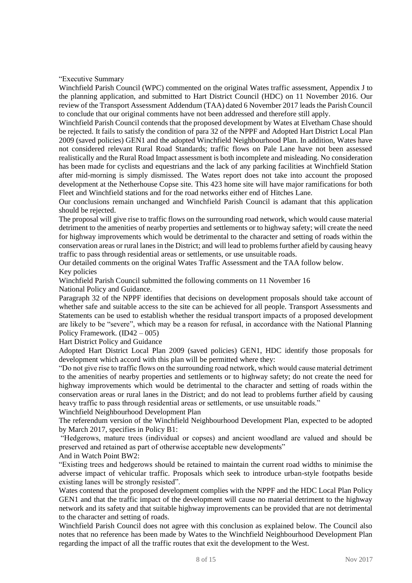"Executive Summary

Winchfield Parish Council (WPC) commented on the original Wates traffic assessment, Appendix J to the planning application, and submitted to Hart District Council (HDC) on 11 November 2016. Our review of the Transport Assessment Addendum (TAA) dated 6 November 2017 leads the Parish Council to conclude that our original comments have not been addressed and therefore still apply.

Winchfield Parish Council contends that the proposed development by Wates at Elvetham Chase should be rejected. It fails to satisfy the condition of para 32 of the NPPF and Adopted Hart District Local Plan 2009 (saved policies) GEN1 and the adopted Winchfield Neighbourhood Plan. In addition, Wates have not considered relevant Rural Road Standards; traffic flows on Pale Lane have not been assessed realistically and the Rural Road Impact assessment is both incomplete and misleading. No consideration has been made for cyclists and equestrians and the lack of any parking facilities at Winchfield Station after mid-morning is simply dismissed. The Wates report does not take into account the proposed development at the Netherhouse Copse site. This 423 home site will have major ramifications for both Fleet and Winchfield stations and for the road networks either end of Hitches Lane.

Our conclusions remain unchanged and Winchfield Parish Council is adamant that this application should be rejected.

The proposal will give rise to traffic flows on the surrounding road network, which would cause material detriment to the amenities of nearby properties and settlements or to highway safety; will create the need for highway improvements which would be detrimental to the character and setting of roads within the conservation areas or rural lanes in the District; and will lead to problems further afield by causing heavy traffic to pass through residential areas or settlements, or use unsuitable roads.

Our detailed comments on the original Wates Traffic Assessment and the TAA follow below. Key policies

Winchfield Parish Council submitted the following comments on 11 November 16

National Policy and Guidance.

Paragraph 32 of the NPPF identifies that decisions on development proposals should take account of whether safe and suitable access to the site can be achieved for all people. Transport Assessments and Statements can be used to establish whether the residual transport impacts of a proposed development are likely to be "severe", which may be a reason for refusal, in accordance with the National Planning Policy Framework. (ID42 – 005)

Hart District Policy and Guidance

Adopted Hart District Local Plan 2009 (saved policies) GEN1, HDC identify those proposals for development which accord with this plan will be permitted where they:

"Do not give rise to traffic flows on the surrounding road network, which would cause material detriment to the amenities of nearby properties and settlements or to highway safety; do not create the need for highway improvements which would be detrimental to the character and setting of roads within the conservation areas or rural lanes in the District; and do not lead to problems further afield by causing heavy traffic to pass through residential areas or settlements, or use unsuitable roads."

Winchfield Neighbourhood Development Plan

The referendum version of the Winchfield Neighbourhood Development Plan, expected to be adopted by March 2017, specifies in Policy B1:

"Hedgerows, mature trees (individual or copses) and ancient woodland are valued and should be preserved and retained as part of otherwise acceptable new developments"

#### And in Watch Point BW2:

"Existing trees and hedgerows should be retained to maintain the current road widths to minimise the adverse impact of vehicular traffic. Proposals which seek to introduce urban-style footpaths beside existing lanes will be strongly resisted".

Wates contend that the proposed development complies with the NPPF and the HDC Local Plan Policy GEN1 and that the traffic impact of the development will cause no material detriment to the highway network and its safety and that suitable highway improvements can be provided that are not detrimental to the character and setting of roads.

Winchfield Parish Council does not agree with this conclusion as explained below. The Council also notes that no reference has been made by Wates to the Winchfield Neighbourhood Development Plan regarding the impact of all the traffic routes that exit the development to the West.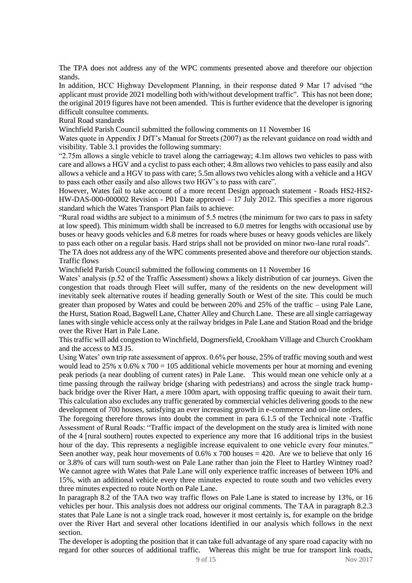The TPA does not address any of the WPC comments presented above and therefore our objection stands.

In addition, HCC Highway Development Planning, in their response dated 9 Mar 17 advised "the applicant must provide 2021 modelling both with/without development traffic". This has not been done; the original 2019 figures have not been amended. This is further evidence that the developer is ignoring difficult consultee comments.

#### Rural Road standards

Winchfield Parish Council submitted the following comments on 11 November 16

Wates quote in Appendix J DfT's Manual for Streets (2007) as the relevant guidance on road width and visibility. Table 3.1 provides the following summary:

"2.75m allows a single vehicle to travel along the carriageway; 4.1m allows two vehicles to pass with care and allows a HGV and a cyclist to pass each other; 4.8m allows two vehicles to pass easily and also allows a vehicle and a HGV to pass with care; 5.5m allows two vehicles along with a vehicle and a HGV to pass each other easily and also allows two HGV's to pass with care".

However, Wates fail to take account of a more recent Design approach statement - Roads HS2-HS2- HW-DAS-000-000002 Revision - P01 Date approved – 17 July 2012. This specifies a more rigorous standard which the Wates Transport Plan fails to achieve:

"Rural road widths are subject to a minimum of 5.5 metres (the minimum for two cars to pass in safety at low speed). This minimum width shall be increased to 6.0 metres for lengths with occasional use by buses or heavy goods vehicles and 6.8 metres for roads where buses or heavy goods vehicles are likely to pass each other on a regular basis. Hard strips shall not be provided on minor two-lane rural roads".

The TA does not address any of the WPC comments presented above and therefore our objection stands. Traffic flows

Winchfield Parish Council submitted the following comments on 11 November 16

Wates' analysis (p.52 of the Traffic Assessment) shows a likely distribution of car journeys. Given the congestion that roads through Fleet will suffer, many of the residents on the new development will inevitably seek alternative routes if heading generally South or West of the site. This could be much greater than proposed by Wates and could be between 20% and 25% of the traffic – using Pale Lane, the Hurst, Station Road, Bagwell Lane, Chatter Alley and Church Lane. These are all single carriageway lanes with single vehicle access only at the railway bridges in Pale Lane and Station Road and the bridge over the River Hart in Pale Lane.

This traffic will add congestion to Winchfield, Dogmersfield, Crookham Village and Church Crookham and the access to M3 J5.

Using Wates' own trip rate assessment of approx. 0.6% per house, 25% of traffic moving south and west would lead to 25% x  $0.6\%$  x 700 = 105 additional vehicle movements per hour at morning and evening peak periods (a near doubling of current rates) in Pale Lane. This would mean one vehicle only at a time passing through the railway bridge (sharing with pedestrians) and across the single track humpback bridge over the River Hart, a mere 100m apart, with opposing traffic queuing to await their turn. This calculation also excludes any traffic generated by commercial vehicles delivering goods to the new development of 700 houses, satisfying an ever increasing growth in e-commerce and on-line orders.

The foregoing therefore throws into doubt the comment in para 6.1.5 of the Technical note -Traffic Assessment of Rural Roads: "Traffic impact of the development on the study area is limited with none of the 4 [rural southern] routes expected to experience any more that 16 additional trips in the busiest hour of the day. This represents a negligible increase equivalent to one vehicle every four minutes." Seen another way, peak hour movements of  $0.6\%$  x 700 houses = 420. Are we to believe that only 16 or 3.8% of cars will turn south-west on Pale Lane rather than join the Fleet to Hartley Wintney road? We cannot agree with Wates that Pale Lane will only experience traffic increases of between 10% and 15%, with an additional vehicle every three minutes expected to route south and two vehicles every three minutes expected to route North on Pale Lane.

In paragraph 8.2 of the TAA two way traffic flows on Pale Lane is stated to increase by 13%, or 16 vehicles per hour. This analysis does not address our original comments. The TAA in paragraph 8.2.3 states that Pale Lane is not a single track road, however it most certainly is, for example on the bridge over the River Hart and several other locations identified in our analysis which follows in the next section.

The developer is adopting the position that it can take full advantage of any spare road capacity with no regard for other sources of additional traffic. Whereas this might be true for transport link roads,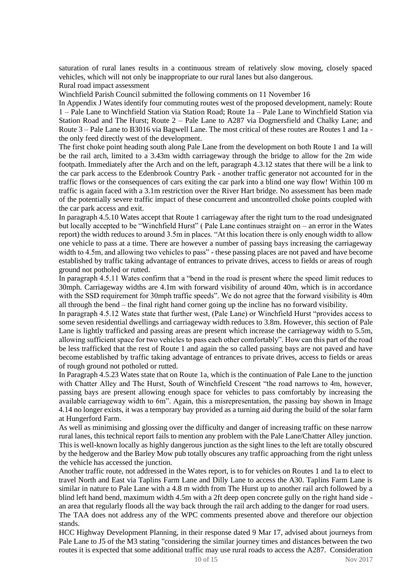saturation of rural lanes results in a continuous stream of relatively slow moving, closely spaced vehicles, which will not only be inappropriate to our rural lanes but also dangerous.

Rural road impact assessment

Winchfield Parish Council submitted the following comments on 11 November 16

In Appendix J Wates identify four commuting routes west of the proposed development, namely: Route 1 – Pale Lane to Winchfield Station via Station Road; Route 1a – Pale Lane to Winchfield Station via Station Road and The Hurst; Route 2 – Pale Lane to A287 via Dogmersfield and Chalky Lane; and Route 3 – Pale Lane to B3016 via Bagwell Lane. The most critical of these routes are Routes 1 and 1a the only feed directly west of the development.

The first choke point heading south along Pale Lane from the development on both Route 1 and 1a will be the rail arch, limited to a 3.43m width carriageway through the bridge to allow for the 2m wide footpath. Immediately after the Arch and on the left, paragraph 4.3.12 states that there will be a link to the car park access to the Edenbrook Country Park - another traffic generator not accounted for in the traffic flows or the consequences of cars exiting the car park into a blind one way flow! Within 100 m traffic is again faced with a 3.1m restriction over the River Hart bridge. No assessment has been made of the potentially severe traffic impact of these concurrent and uncontrolled choke points coupled with the car park access and exit.

In paragraph 4.5.10 Wates accept that Route 1 carriageway after the right turn to the road undesignated but locally accepted to be "Winchfield Hurst" ( Pale Lane continues straight on – an error in the Wates report) the width reduces to around 3.5m in places. "At this location there is only enough width to allow one vehicle to pass at a time. There are however a number of passing bays increasing the carriageway width to 4.5m, and allowing two vehicles to pass" - these passing places are not paved and have become established by traffic taking advantage of entrances to private drives, access to fields or areas of rough ground not potholed or rutted.

In paragraph 4.5.11 Wates confirm that a "bend in the road is present where the speed limit reduces to 30mph. Carriageway widths are 4.1m with forward visibility of around 40m, which is in accordance with the SSD requirement for 30mph traffic speeds". We do not agree that the forward visibility is 40m all through the bend – the final right hand corner going up the incline has no forward visibility.

In paragraph 4.5.12 Wates state that further west, (Pale Lane) or Winchfield Hurst "provides access to some seven residential dwellings and carriageway width reduces to 3.8m. However, this section of Pale Lane is lightly trafficked and passing areas are present which increase the carriageway width to 5.5m, allowing sufficient space for two vehicles to pass each other comfortably". How can this part of the road be less trafficked that the rest of Route 1 and again the so called passing bays are not paved and have become established by traffic taking advantage of entrances to private drives, access to fields or areas of rough ground not potholed or rutted.

In Paragraph 4.5.23 Wates state that on Route 1a, which is the continuation of Pale Lane to the junction with Chatter Alley and The Hurst, South of Winchfield Crescent "the road narrows to 4m, however, passing bays are present allowing enough space for vehicles to pass comfortably by increasing the available carriageway width to 6m". Again, this a misrepresentation, the passing bay shown in Image 4.14 no longer exists, it was a temporary bay provided as a turning aid during the build of the solar farm at Hungerford Farm.

As well as minimising and glossing over the difficulty and danger of increasing traffic on these narrow rural lanes, this technical report fails to mention any problem with the Pale Lane/Chatter Alley junction. This is well-known locally as highly dangerous junction as the sight lines to the left are totally obscured by the hedgerow and the Barley Mow pub totally obscures any traffic approaching from the right unless the vehicle has accessed the junction.

Another traffic route, not addressed in the Wates report, is to for vehicles on Routes 1 and 1a to elect to travel North and East via Taplins Farm Lane and Dilly Lane to access the A30. Taplins Farm Lane is similar in nature to Pale Lane with a 4.8 m width from The Hurst up to another rail arch followed by a blind left hand bend, maximum width 4.5m with a 2ft deep open concrete gully on the right hand side an area that regularly floods all the way back through the rail arch adding to the danger for road users.

The TAA does not address any of the WPC comments presented above and therefore our objection stands.

HCC Highway Development Planning, in their response dated 9 Mar 17, advised about journeys from Pale Lane to J5 of the M3 stating "considering the similar journey times and distances between the two routes it is expected that some additional traffic may use rural roads to access the A287. Consideration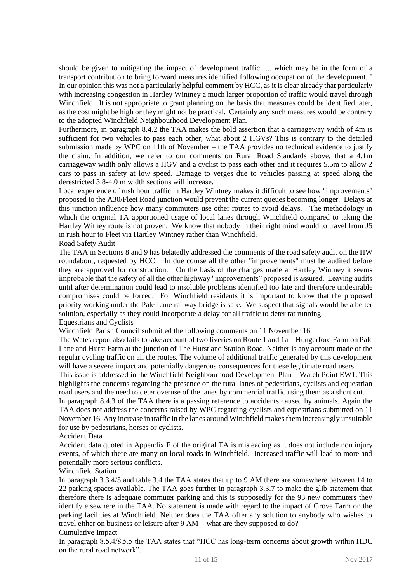should be given to mitigating the impact of development traffic ... which may be in the form of a transport contribution to bring forward measures identified following occupation of the development. " In our opinion this was not a particularly helpful comment by HCC, as it is clear already that particularly with increasing congestion in Hartley Wintney a much larger proportion of traffic would travel through Winchfield. It is not appropriate to grant planning on the basis that measures could be identified later, as the cost might be high or they might not be practical. Certainly any such measures would be contrary to the adopted Winchfield Neighbourhood Development Plan.

Furthermore, in paragraph 8.4.2 the TAA makes the bold assertion that a carriageway width of 4m is sufficient for two vehicles to pass each other, what about 2 HGVs? This is contrary to the detailed submission made by WPC on 11th of November – the TAA provides no technical evidence to justify the claim. In addition, we refer to our comments on Rural Road Standards above, that a 4.1m carriageway width only allows a HGV and a cyclist to pass each other and it requires 5.5m to allow 2 cars to pass in safety at low speed. Damage to verges due to vehicles passing at speed along the derestricted 3.8-4.0 m width sections will increase.

Local experience of rush hour traffic in Hartley Wintney makes it difficult to see how "improvements" proposed to the A30/Fleet Road junction would prevent the current queues becoming longer. Delays at this junction influence how many commuters use other routes to avoid delays. The methodology in which the original TA apportioned usage of local lanes through Winchfield compared to taking the Hartley Witney route is not proven. We know that nobody in their right mind would to travel from J5 in rush hour to Fleet via Hartley Wintney rather than Winchfield.

Road Safety Audit

The TAA in Sections 8 and 9 has belatedly addressed the comments of the road safety audit on the HW roundabout, requested by HCC. In due course all the other "improvements" must be audited before they are approved for construction. On the basis of the changes made at Hartley Wintney it seems improbable that the safety of all the other highway "improvements" proposed is assured. Leaving audits until after determination could lead to insoluble problems identified too late and therefore undesirable compromises could be forced. For Winchfield residents it is important to know that the proposed priority working under the Pale Lane railway bridge is safe. We suspect that signals would be a better solution, especially as they could incorporate a delay for all traffic to deter rat running. Equestrians and Cyclists

Winchfield Parish Council submitted the following comments on 11 November 16

The Wates report also fails to take account of two liveries on Route 1 and 1a – Hungerford Farm on Pale Lane and Hurst Farm at the junction of The Hurst and Station Road. Neither is any account made of the regular cycling traffic on all the routes. The volume of additional traffic generated by this development will have a severe impact and potentially dangerous consequences for these legitimate road users.

This issue is addressed in the Winchfield Neighbourhood Development Plan – Watch Point EW1. This highlights the concerns regarding the presence on the rural lanes of pedestrians, cyclists and equestrian road users and the need to deter overuse of the lanes by commercial traffic using them as a short cut.

In paragraph 8.4.3 of the TAA there is a passing reference to accidents caused by animals. Again the TAA does not address the concerns raised by WPC regarding cyclists and equestrians submitted on 11 November 16. Any increase in traffic in the lanes around Winchfield makes them increasingly unsuitable for use by pedestrians, horses or cyclists.

Accident Data

Accident data quoted in Appendix E of the original TA is misleading as it does not include non injury events, of which there are many on local roads in Winchfield. Increased traffic will lead to more and potentially more serious conflicts.

Winchfield Station

In paragraph 3.3.4/5 and table 3.4 the TAA states that up to 9 AM there are somewhere between 14 to 22 parking spaces available. The TAA goes further in paragraph 3.3.7 to make the glib statement that therefore there is adequate commuter parking and this is supposedly for the 93 new commuters they identify elsewhere in the TAA. No statement is made with regard to the impact of Grove Farm on the parking facilities at Winchfield. Neither does the TAA offer any solution to anybody who wishes to travel either on business or leisure after 9 AM – what are they supposed to do? Cumulative Impact

In paragraph 8.5.4/8.5.5 the TAA states that "HCC has long-term concerns about growth within HDC on the rural road network".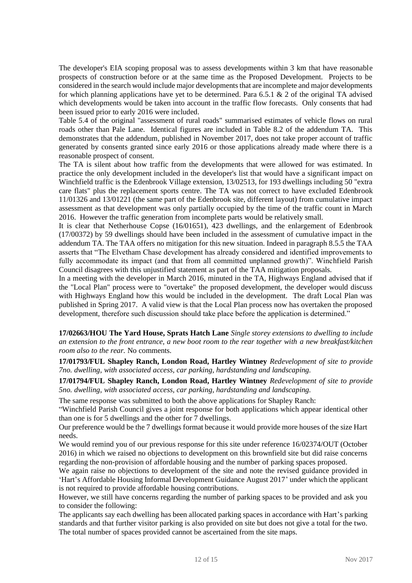The developer's EIA scoping proposal was to assess developments within 3 km that have reasonable prospects of construction before or at the same time as the Proposed Development. Projects to be considered in the search would include major developments that are incomplete and major developments for which planning applications have yet to be determined. Para  $6.5.1 \& 2$  of the original TA advised which developments would be taken into account in the traffic flow forecasts. Only consents that had been issued prior to early 2016 were included.

Table 5.4 of the original "assessment of rural roads" summarised estimates of vehicle flows on rural roads other than Pale Lane. Identical figures are included in Table 8.2 of the addendum TA. This demonstrates that the addendum, published in November 2017, does not take proper account of traffic generated by consents granted since early 2016 or those applications already made where there is a reasonable prospect of consent.

The TA is silent about how traffic from the developments that were allowed for was estimated. In practice the only development included in the developer's list that would have a significant impact on Winchfield traffic is the Edenbrook Village extension, 13/02513, for 193 dwellings including 50 "extra care flats" plus the replacement sports centre. The TA was not correct to have excluded Edenbrook 11/01326 and 13/01221 (the same part of the Edenbrook site, different layout) from cumulative impact assessment as that development was only partially occupied by the time of the traffic count in March 2016. However the traffic generation from incomplete parts would be relatively small.

It is clear that Netherhouse Copse (16/01651), 423 dwellings, and the enlargement of Edenbrook (17/00372) by 59 dwellings should have been included in the assessment of cumulative impact in the addendum TA. The TAA offers no mitigation for this new situation. Indeed in paragraph 8.5.5 the TAA asserts that "The Elvetham Chase development has already considered and identified improvements to fully accommodate its impact (and that from all committed unplanned growth)". Winchfield Parish Council disagrees with this unjustified statement as part of the TAA mitigation proposals.

In a meeting with the developer in March 2016, minuted in the TA, Highways England advised that if the "Local Plan" process were to "overtake" the proposed development, the developer would discuss with Highways England how this would be included in the development. The draft Local Plan was published in Spring 2017. A valid view is that the Local Plan process now has overtaken the proposed development, therefore such discussion should take place before the application is determined."

**17/02663/HOU The Yard House, Sprats Hatch Lane** *Single storey extensions to dwelling to include an extension to the front entrance, a new boot room to the rear together with a new breakfast/kitchen room also to the rear.* No comments.

**17/01793/FUL Shapley Ranch, London Road, Hartley Wintney** *Redevelopment of site to provide 7no. dwelling, with associated access, car parking, hardstanding and landscaping.*

**17/01794/FUL Shapley Ranch, London Road, Hartley Wintney** *Redevelopment of site to provide 5no. dwelling, with associated access, car parking, hardstanding and landscaping.*

The same response was submitted to both the above applications for Shapley Ranch:

"Winchfield Parish Council gives a joint response for both applications which appear identical other than one is for 5 dwellings and the other for 7 dwellings.

Our preference would be the 7 dwellings format because it would provide more houses of the size Hart needs.

We would remind you of our previous response for this site under reference 16/02374/OUT (October 2016) in which we raised no objections to development on this brownfield site but did raise concerns regarding the non-provision of affordable housing and the number of parking spaces proposed.

We again raise no objections to development of the site and note the revised guidance provided in 'Hart's Affordable Housing Informal Development Guidance August 2017' under which the applicant is not required to provide affordable housing contributions.

However, we still have concerns regarding the number of parking spaces to be provided and ask you to consider the following:

The applicants say each dwelling has been allocated parking spaces in accordance with Hart's parking standards and that further visitor parking is also provided on site but does not give a total for the two. The total number of spaces provided cannot be ascertained from the site maps.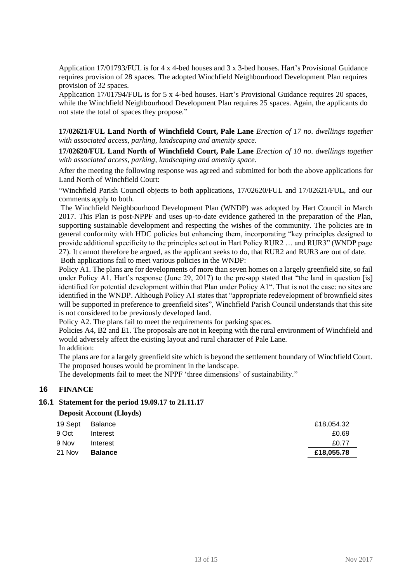Application 17/01793/FUL is for 4 x 4-bed houses and 3 x 3-bed houses. Hart's Provisional Guidance requires provision of 28 spaces. The adopted Winchfield Neighbourhood Development Plan requires provision of 32 spaces.

Application 17/01794/FUL is for 5 x 4-bed houses. Hart's Provisional Guidance requires 20 spaces, while the Winchfield Neighbourhood Development Plan requires 25 spaces. Again, the applicants do not state the total of spaces they propose."

**17/02621/FUL Land North of Winchfield Court, Pale Lane** *Erection of 17 no. dwellings together with associated access, parking, landscaping and amenity space.*

**17/02620/FUL Land North of Winchfield Court, Pale Lane** *Erection of 10 no. dwellings together with associated access, parking, landscaping and amenity space.*

After the meeting the following response was agreed and submitted for both the above applications for Land North of Winchfield Court:

"Winchfield Parish Council objects to both applications, 17/02620/FUL and 17/02621/FUL, and our comments apply to both.

The Winchfield Neighbourhood Development Plan (WNDP) was adopted by Hart Council in March 2017. This Plan is post-NPPF and uses up-to-date evidence gathered in the preparation of the Plan, supporting sustainable development and respecting the wishes of the community. The policies are in general conformity with HDC policies but enhancing them, incorporating "key principles designed to provide additional specificity to the principles set out in Hart Policy RUR2 … and RUR3" (WNDP page 27). It cannot therefore be argued, as the applicant seeks to do, that RUR2 and RUR3 are out of date. Both applications fail to meet various policies in the WNDP:

Policy A1. The plans are for developments of more than seven homes on a largely greenfield site, so fail under Policy A1. Hart's response (June 29, 2017) to the pre-app stated that "the land in question [is] identified for potential development within that Plan under Policy A1". That is not the case: no sites are identified in the WNDP. Although Policy A1 states that "appropriate redevelopment of brownfield sites will be supported in preference to greenfield sites", Winchfield Parish Council understands that this site is not considered to be previously developed land.

Policy A2. The plans fail to meet the requirements for parking spaces.

Policies A4, B2 and E1. The proposals are not in keeping with the rural environment of Winchfield and would adversely affect the existing layout and rural character of Pale Lane.

In addition:

The plans are for a largely greenfield site which is beyond the settlement boundary of Winchfield Court. The proposed houses would be prominent in the landscape.

The developments fail to meet the NPPF 'three dimensions' of sustainability."

### **16 FINANCE**

#### **16.1 Statement for the period 19.09.17 to 21.11.17**

#### **Deposit Account (Lloyds)**

| 19 Sept | Balance        | £18,054.32 |
|---------|----------------|------------|
| 9 Oct   | Interest       | £0.69      |
| 9 Nov   | Interest       | £0.77      |
| 21 Nov  | <b>Balance</b> | £18,055.78 |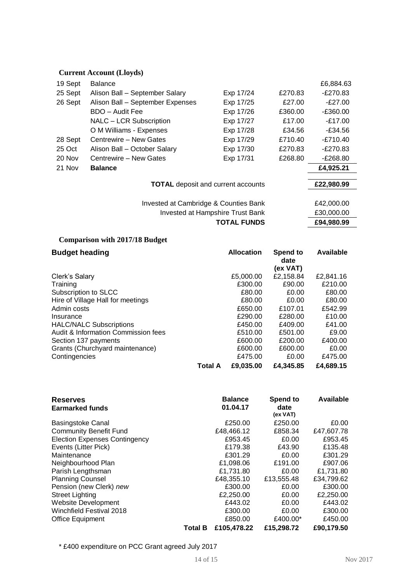# **Current Account (Lloyds)**

**Comparison with 2017/18 Budget**

| 19 Sept | <b>Balance</b>                            |                    |         | £6,884.63  |  |
|---------|-------------------------------------------|--------------------|---------|------------|--|
| 25 Sept | Alison Ball - September Salary            | Exp 17/24          | £270.83 | -£270.83   |  |
| 26 Sept | Alison Ball - September Expenses          | Exp 17/25          | £27.00  | $-E27.00$  |  |
|         | BDO - Audit Fee                           | Exp 17/26          | £360.00 | $-£360.00$ |  |
|         | NALC - LCR Subscription                   | Exp 17/27          | £17.00  | $-£17.00$  |  |
|         | O M Williams - Expenses                   | Exp 17/28          | £34.56  | -£34.56    |  |
| 28 Sept | Centrewire - New Gates                    | Exp 17/29          | £710.40 | $-E710.40$ |  |
| 25 Oct  | Alison Ball - October Salary              | Exp 17/30          | £270.83 | -£270.83   |  |
| 20 Nov  | Centrewire - New Gates                    | Exp 17/31          | £268.80 | E268.80    |  |
| 21 Nov  | <b>Balance</b>                            |                    |         | £4,925.21  |  |
|         | <b>TOTAL</b> deposit and current accounts |                    |         | £22,980.99 |  |
|         | Invested at Cambridge & Counties Bank     |                    |         |            |  |
|         | Invested at Hampshire Trust Bank          |                    |         | £30,000.00 |  |
|         |                                           | <b>TOTAL FUNDS</b> |         | £94,980.99 |  |

| <b>Budget heading</b>               |                | <b>Allocation</b> | Spend to<br>date<br>(ex VAT) | Available |
|-------------------------------------|----------------|-------------------|------------------------------|-----------|
| Clerk's Salary                      |                | £5,000.00         | £2,158.84                    | £2,841.16 |
| Training                            |                | £300.00           | £90.00                       | £210.00   |
| Subscription to SLCC                |                | £80.00            | £0.00                        | £80.00    |
| Hire of Village Hall for meetings   |                | £80.00            | £0.00                        | £80.00    |
| Admin costs                         |                | £650.00           | £107.01                      | £542.99   |
| Insurance                           |                | £290.00           | £280.00                      | £10.00    |
| <b>HALC/NALC Subscriptions</b>      |                | £450.00           | £409.00                      | £41.00    |
| Audit & Information Commission fees |                | £510.00           | £501.00                      | £9.00     |
| Section 137 payments                |                | £600.00           | £200.00                      | £400.00   |
| Grants (Churchyard maintenance)     |                | £600.00           | £600.00                      | £0.00     |
| Contingencies                       |                | £475.00           | £0.00                        | £475.00   |
|                                     | <b>Total A</b> | £9,035,00         | £4,345.85                    | £4,689.15 |

| <b>Reserves</b><br><b>Earmarked funds</b> |                | <b>Balance</b><br>01.04.17 | Spend to<br>date<br>(ex VAT) | <b>Available</b> |
|-------------------------------------------|----------------|----------------------------|------------------------------|------------------|
| <b>Basingstoke Canal</b>                  |                | £250.00                    | £250.00                      | £0.00            |
| <b>Community Benefit Fund</b>             |                | £48,466.12                 | £858.34                      | £47,607.78       |
| <b>Election Expenses Contingency</b>      |                | £953.45                    | £0.00                        | £953.45          |
| Events (Litter Pick)                      |                | £179.38                    | £43.90                       | £135.48          |
| Maintenance                               |                | £301.29                    | £0.00                        | £301.29          |
| Neighbourhood Plan                        |                | £1,098.06                  | £191.00                      | £907.06          |
| Parish Lengthsman                         |                | £1,731.80                  | £0.00                        | £1,731.80        |
| <b>Planning Counsel</b>                   |                | £48,355.10                 | £13,555.48                   | £34,799.62       |
| Pension (new Clerk) new                   |                | £300.00                    | £0.00                        | £300.00          |
| <b>Street Lighting</b>                    |                | £2,250.00                  | £0.00                        | £2,250.00        |
| <b>Website Development</b>                |                | £443.02                    | £0.00                        | £443.02          |
| Winchfield Festival 2018                  |                | £300.00                    | £0.00                        | £300.00          |
| Office Equipment                          |                | £850.00                    | £400.00*                     | £450.00          |
|                                           | <b>Total B</b> | £105,478.22                | £15,298,72                   | £90,179.50       |

\* £400 expenditure on PCC Grant agreed July 2017